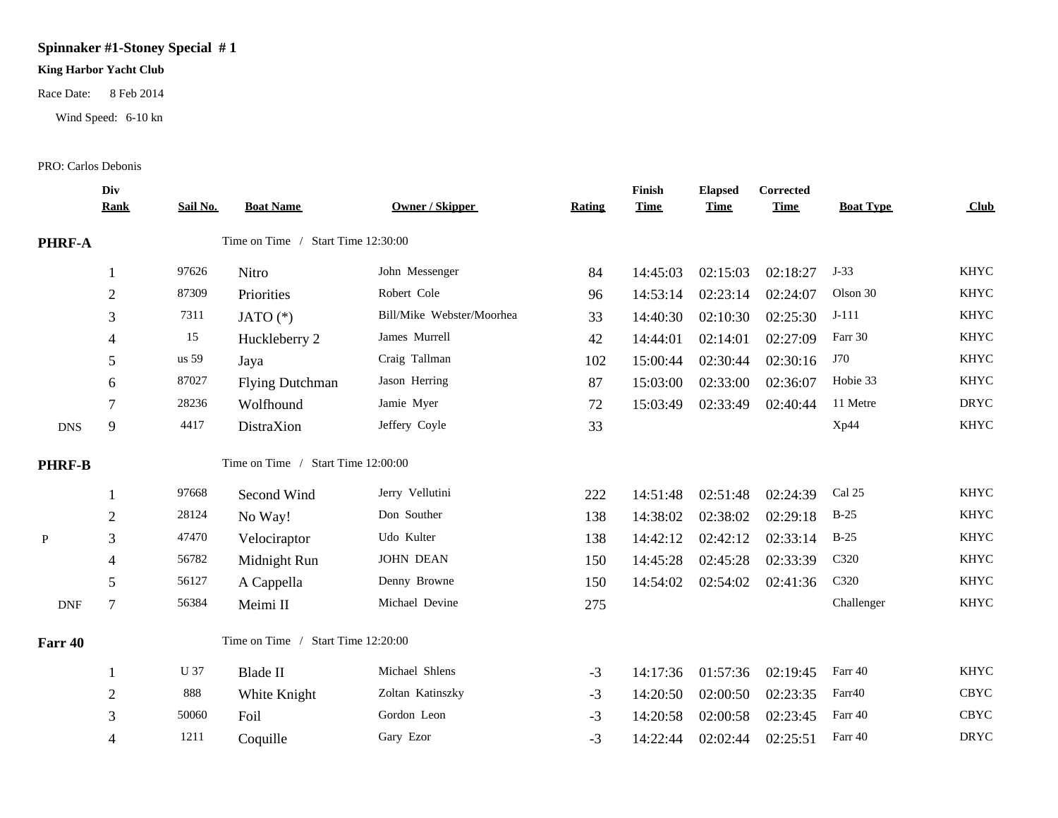## **Spinnaker #1-Stoney Special # 1**

## **King Harbor Yacht Club**

Race Date: 8 Feb 2014

Wind Speed: 6-10 kn

## PRO: Carlos Debonis

|                             | Div<br><b>Rank</b> | Sail No. | <b>Boat Name</b>                   | Owner / Skipper           | Rating | Finish<br><b>Time</b> | <b>Elapsed</b><br><b>Time</b> | Corrected<br><b>Time</b> | <b>Boat Type</b> | Club        |
|-----------------------------|--------------------|----------|------------------------------------|---------------------------|--------|-----------------------|-------------------------------|--------------------------|------------------|-------------|
| PHRF-A                      |                    |          | Time on Time / Start Time 12:30:00 |                           |        |                       |                               |                          |                  |             |
|                             | $\mathbf{1}$       | 97626    | Nitro                              | John Messenger            | 84     | 14:45:03              | 02:15:03                      | 02:18:27                 | $J-33$           | <b>KHYC</b> |
|                             | $\overline{2}$     | 87309    | Priorities                         | Robert Cole               | 96     | 14:53:14              | 02:23:14                      | 02:24:07                 | Olson 30         | <b>KHYC</b> |
|                             | 3                  | 7311     | JATO $(*)$                         | Bill/Mike Webster/Moorhea | 33     | 14:40:30              | 02:10:30                      | 02:25:30                 | $J-111$          | <b>KHYC</b> |
|                             | 4                  | 15       | Huckleberry 2                      | James Murrell             | 42     | 14:44:01              | 02:14:01                      | 02:27:09                 | Farr 30          | <b>KHYC</b> |
|                             | 5                  | us 59    | Jaya                               | Craig Tallman             | 102    | 15:00:44              | 02:30:44                      | 02:30:16                 | J70              | <b>KHYC</b> |
|                             | 6                  | 87027    | <b>Flying Dutchman</b>             | Jason Herring             | 87     | 15:03:00              | 02:33:00                      | 02:36:07                 | Hobie 33         | <b>KHYC</b> |
|                             | 7                  | 28236    | Wolfhound                          | Jamie Myer                | 72     | 15:03:49              | 02:33:49                      | 02:40:44                 | 11 Metre         | <b>DRYC</b> |
| <b>DNS</b>                  | $\mathbf{9}$       | 4417     | DistraXion                         | Jeffery Coyle             | 33     |                       |                               |                          | Xp44             | <b>KHYC</b> |
| <b>PHRF-B</b>               |                    |          | Time on Time / Start Time 12:00:00 |                           |        |                       |                               |                          |                  |             |
|                             |                    | 97668    | Second Wind                        | Jerry Vellutini           | 222    | 14:51:48              | 02:51:48                      | 02:24:39                 | Cal 25           | <b>KHYC</b> |
|                             | $\overline{2}$     | 28124    | No Way!                            | Don Souther               | 138    | 14:38:02              | 02:38:02                      | 02:29:18                 | $B-25$           | <b>KHYC</b> |
| $\mathbf{P}$                | 3                  | 47470    | Velociraptor                       | Udo Kulter                | 138    | 14:42:12              | 02:42:12                      | 02:33:14                 | $B-25$           | <b>KHYC</b> |
|                             | $\overline{4}$     | 56782    | Midnight Run                       | <b>JOHN DEAN</b>          | 150    | 14:45:28              | 02:45:28                      | 02:33:39                 | C320             | <b>KHYC</b> |
|                             | 5                  | 56127    | A Cappella                         | Denny Browne              | 150    | 14:54:02              | 02:54:02                      | 02:41:36                 | C320             | <b>KHYC</b> |
| $\ensuremath{\mathsf{DNF}}$ | $\tau$             | 56384    | Meimi II                           | Michael Devine            | 275    |                       |                               |                          | Challenger       | <b>KHYC</b> |
| Farr 40                     |                    |          | Time on Time / Start Time 12:20:00 |                           |        |                       |                               |                          |                  |             |
|                             |                    | U 37     | <b>Blade II</b>                    | Michael Shlens            | $-3$   | 14:17:36              | 01:57:36                      | 02:19:45                 | Farr 40          | <b>KHYC</b> |
|                             | $\sqrt{2}$         | 888      | White Knight                       | Zoltan Katinszky          | $-3$   | 14:20:50              | 02:00:50                      | 02:23:35                 | Farr40           | CBYC        |
|                             | 3                  | 50060    | Foil                               | Gordon Leon               | $-3$   | 14:20:58              | 02:00:58                      | 02:23:45                 | Farr 40          | CBYC        |
|                             | 4                  | 1211     | Coquille                           | Gary Ezor                 | $-3$   | 14:22:44              | 02:02:44                      | 02:25:51                 | Farr 40          | <b>DRYC</b> |
|                             |                    |          |                                    |                           |        |                       |                               |                          |                  |             |